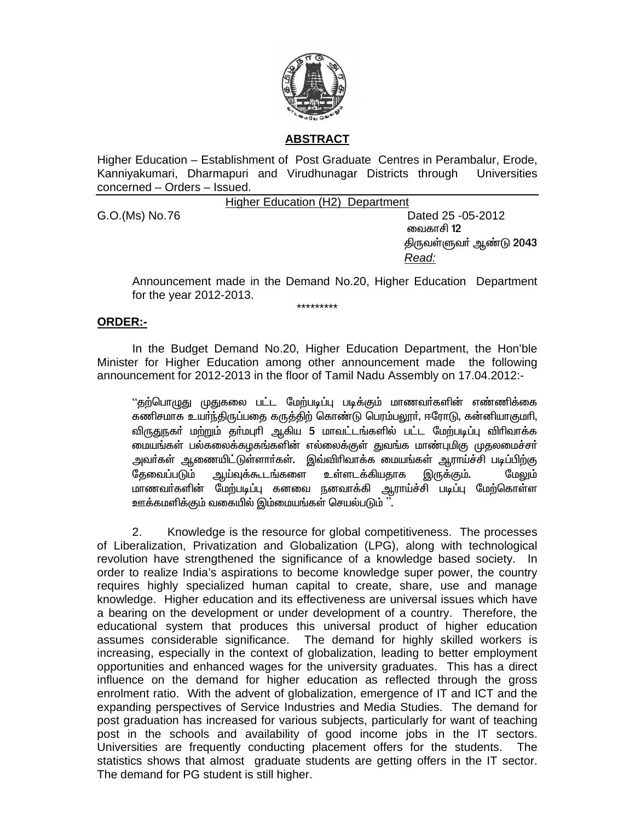

# **ABSTRACT**

Higher Education - Establishment of Post Graduate Centres in Perambalur, Erode, Kanniyakumari, Dharmapuri and Virudhunagar Districts through Universities concerned - Orders - Issued.

Higher Education (H2) Department

G.O.(Ms) No.76

Dated 25 - 05 - 2012 வைகாசி 12 திருவள்ளுவர் ஆண்டு 2043 Read:

Announcement made in the Demand No.20, Higher Education Department for the year 2012-2013.

\*\*\*\*\*\*\*\*\*

### ORDER:-

In the Budget Demand No.20, Higher Education Department, the Hon'ble Minister for Higher Education among other announcement made the following announcement for 2012-2013 in the floor of Tamil Nadu Assembly on 17.04.2012:-

''தற்பொழுது முதுகலை பட்ட மேற்படிப்பு படிக்கும் மாணவர்களின் எண்ணிக்கை கணிசமாக உயர்ந்திருப்பதை கருத்திற் கொண்டு பெரம்பலூர், ஈரோடு, கன்னியாகுமரி, விருதுநகர் மற்றும் தர்மபுரி ஆகிய 5 மாவட்டங்களில் பட்ட மேற்படிப்பு விரிவாக்க மையங்கள் பல்கலைக்கழகங்களின் எல்லைக்குள் துவங்க மாண்புமிகு முதலமைச்சர் அவா்கள் ஆணையிட்டுள்ளாா்கள். இவ்விாிவாக்க மையங்கள் ஆராய்ச்சி படிப்பிற்கு அய்வுக்கூடங்களை உள்ளடக்கியதாக தேவைப்படும் இருக்கும். மேலும் மாணவர்களின் மேற்படிப்பு கனவை நனவாக்கி ஆராய்ச்சி படிப்பு மேற்கொள்ள ஊக்கமளிக்கும் வகையில் இம்மையங்கள் செயல்படும் ''.

 $2.$ Knowledge is the resource for global competitiveness. The processes of Liberalization, Privatization and Globalization (LPG), along with technological revolution have strengthened the significance of a knowledge based society. In order to realize India's aspirations to become knowledge super power, the country requires highly specialized human capital to create, share, use and manage knowledge. Higher education and its effectiveness are universal issues which have a bearing on the development or under development of a country. Therefore, the educational system that produces this universal product of higher education assumes considerable significance. The demand for highly skilled workers is increasing, especially in the context of globalization, leading to better employment opportunities and enhanced wages for the university graduates. This has a direct influence on the demand for higher education as reflected through the gross enrolment ratio. With the advent of globalization, emergence of IT and ICT and the expanding perspectives of Service Industries and Media Studies. The demand for post graduation has increased for various subjects, particularly for want of teaching post in the schools and availability of good income jobs in the IT sectors. Universities are frequently conducting placement offers for the students. The statistics shows that almost graduate students are getting offers in the IT sector. The demand for PG student is still higher.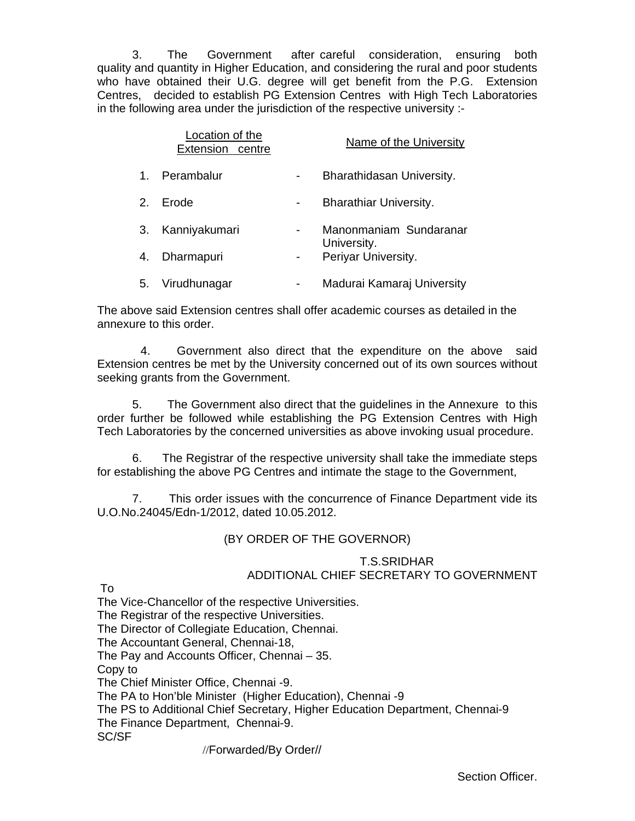3. The Government after careful consideration, ensuring both quality and quantity in Higher Education, and considering the rural and poor students who have obtained their U.G. degree will get benefit from the P.G. Extension Centres, decided to establish PG Extension Centres with High Tech Laboratories in the following area under the jurisdiction of the respective university :-

|                | Location of the<br>Extension centre |  | Name of the University                                       |
|----------------|-------------------------------------|--|--------------------------------------------------------------|
| $\mathbf{1}$ . | Perambalur                          |  | Bharathidasan University.                                    |
| 2.             | Erode                               |  | <b>Bharathiar University.</b>                                |
| 3.             | Kanniyakumari                       |  | Manonmaniam Sundaranar<br>University.<br>Periyar University. |
| 4.             | Dharmapuri                          |  |                                                              |
| 5.             | Virudhunagar                        |  | Madurai Kamaraj University                                   |

The above said Extension centres shall offer academic courses as detailed in the annexure to this order.

 4. Government also direct that the expenditure on the above said Extension centres be met by the University concerned out of its own sources without seeking grants from the Government.

5. The Government also direct that the guidelines in the Annexure to this order further be followed while establishing the PG Extension Centres with High Tech Laboratories by the concerned universities as above invoking usual procedure.

6. The Registrar of the respective university shall take the immediate steps for establishing the above PG Centres and intimate the stage to the Government,

7. This order issues with the concurrence of Finance Department vide its U.O.No.24045/Edn-1/2012, dated 10.05.2012.

## (BY ORDER OF THE GOVERNOR)

## T.S.SRIDHAR ADDITIONAL CHIEF SECRETARY TO GOVERNMENT

To

The Vice-Chancellor of the respective Universities.

The Registrar of the respective Universities.

The Director of Collegiate Education, Chennai.

The Accountant General, Chennai-18,

The Pay and Accounts Officer, Chennai – 35.

Copy to

The Chief Minister Office, Chennai -9.

The PA to Hon'ble Minister (Higher Education), Chennai -9

The PS to Additional Chief Secretary, Higher Education Department, Chennai-9 The Finance Department, Chennai-9.

SC/SF

//Forwarded/By Order//